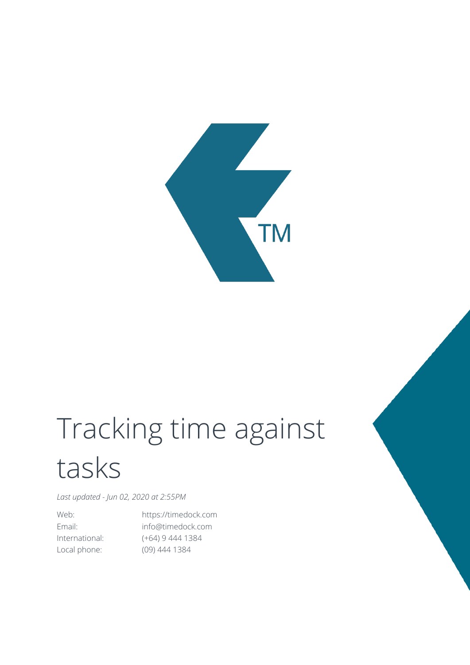

## Tracking time against tasks

*Last updated - Jun 02, 2020 at 2:55PM*

Web: https://timedock.com Email: info@timedock.com International: (+64) 9 444 1384 Local phone: (09) 444 1384